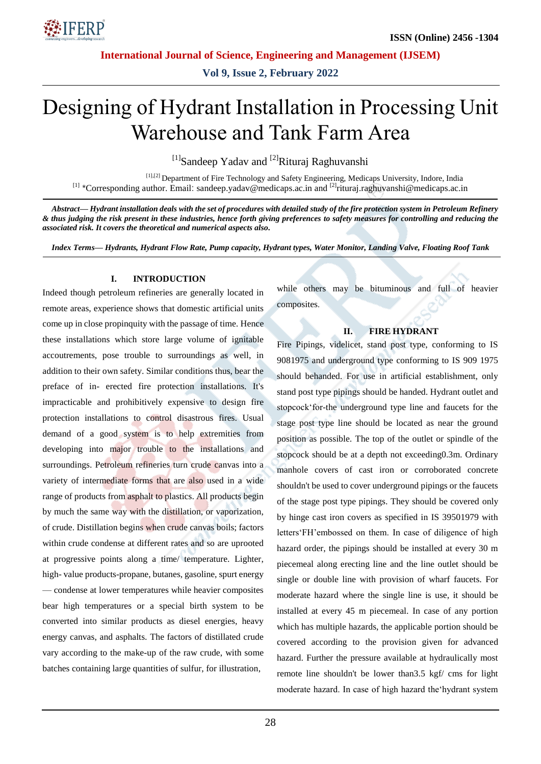

**Vol 9, Issue 2, February 2022**

# Designing of Hydrant Installation in Processing Unit Warehouse and Tank Farm Area

 $[1]$ Sandeep Yadav and  $[2]$ Rituraj Raghuvanshi

 [1],[2] Department of Fire Technology and Safety Engineering, Medicaps University, Indore, India [1] \*Corresponding author. Email: sandeep.yadav@medicaps.ac.in and [2]rituraj.raghuvanshi@medicaps.ac.in

*Abstract— Hydrant installation deals with the set of procedures with detailed study of the fire protection system in Petroleum Refinery & thus judging the risk present in these industries, hence forth giving preferences to safety measures for controlling and reducing the associated risk. It covers the theoretical and numerical aspects also.*

*Index Terms— Hydrants, Hydrant Flow Rate, Pump capacity, Hydrant types, Water Monitor, Landing Valve, Floating Roof Tank*

## **I. INTRODUCTION**

Indeed though petroleum refineries are generally located in remote areas, experience shows that domestic artificial units come up in close propinquity with the passage of time. Hence these installations which store large volume of ignitable accoutrements, pose trouble to surroundings as well, in addition to their own safety. Similar conditions thus, bear the preface of in- erected fire protection installations. It's impracticable and prohibitively expensive to design fire protection installations to control disastrous fires. Usual demand of a good system is to help extremities from developing into major trouble to the installations and surroundings. Petroleum refineries turn crude canvas into a variety of intermediate forms that are also used in a wide range of products from asphalt to plastics. All products begin by much the same way with the distillation, or vaporization, of crude. Distillation begins when crude canvas boils; factors within crude condense at different rates and so are uprooted at progressive points along a time/ temperature. Lighter, high- value products-propane, butanes, gasoline, spurt energy — condense at lower temperatures while heavier composites bear high temperatures or a special birth system to be converted into similar products as diesel energies, heavy energy canvas, and asphalts. The factors of distillated crude vary according to the make-up of the raw crude, with some batches containing large quantities of sulfur, for illustration,

while others may be bituminous and full of heavier composites.

# **II. FIRE HYDRANT**

Fire Pipings, videlicet, stand post type, conforming to IS 9081975 and underground type conforming to IS 909 1975 should behanded. For use in artificial establishment, only stand post type pipings should be handed. Hydrant outlet and stopcock'for-the underground type line and faucets for the stage post type line should be located as near the ground position as possible. The top of the outlet or spindle of the stopcock should be at a depth not exceeding0.3m. Ordinary manhole covers of cast iron or corroborated concrete shouldn't be used to cover underground pipings or the faucets of the stage post type pipings. They should be covered only by hinge cast iron covers as specified in IS 39501979 with letters'FH'embossed on them. In case of diligence of high hazard order, the pipings should be installed at every 30 m piecemeal along erecting line and the line outlet should be single or double line with provision of wharf faucets. For moderate hazard where the single line is use, it should be installed at every 45 m piecemeal. In case of any portion which has multiple hazards, the applicable portion should be covered according to the provision given for advanced hazard. Further the pressure available at hydraulically most remote line shouldn't be lower than3.5 kgf/ cms for light moderate hazard. In case of high hazard the'hydrant system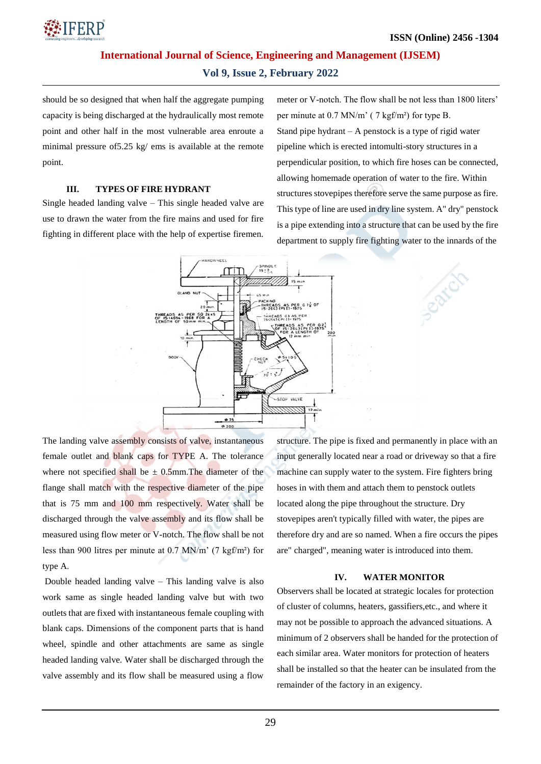

# **Vol 9, Issue 2, February 2022**

should be so designed that when half the aggregate pumping capacity is being discharged at the hydraulically most remote point and other half in the most vulnerable area enroute a minimal pressure of5.25 kg/ ems is available at the remote point.

## **III. TYPES OF FIRE HYDRANT**

Single headed landing valve – This single headed valve are use to drawn the water from the fire mains and used for fire fighting in different place with the help of expertise firemen. meter or V-notch. The flow shall be not less than 1800 liters' per minute at 0.7 MN/m' ( 7 kgf/m²) for type B. Stand pipe hydrant – A penstock is a type of rigid water pipeline which is erected intomulti-story structures in a perpendicular position, to which fire hoses can be connected, allowing homemade operation of water to the fire. Within structures stovepipes therefore serve the same purpose as fire. This type of line are used in dry line system. A" dry" penstock is a pipe extending into a structure that can be used by the fire department to supply fire fighting water to the innards of the



The landing valve assembly consists of valve, instantaneous female outlet and blank caps for TYPE A. The tolerance where not specified shall be  $\pm$  0.5mm. The diameter of the flange shall match with the respective diameter of the pipe that is 75 mm and 100 mm respectively. Water shall be discharged through the valve assembly and its flow shall be measured using flow meter or V-notch. The flow shall be not less than 900 litres per minute at 0.7 MN/m' (7 kgf/m²) for type A.

Double headed landing valve – This landing valve is also work same as single headed landing valve but with two outlets that are fixed with instantaneous female coupling with blank caps. Dimensions of the component parts that is hand wheel, spindle and other attachments are same as single headed landing valve. Water shall be discharged through the valve assembly and its flow shall be measured using a flow

structure. The pipe is fixed and permanently in place with an input generally located near a road or driveway so that a fire machine can supply water to the system. Fire fighters bring hoses in with them and attach them to penstock outlets located along the pipe throughout the structure. Dry stovepipes aren't typically filled with water, the pipes are therefore dry and are so named. When a fire occurs the pipes are" charged", meaning water is introduced into them.

#### **IV. WATER MONITOR**

Observers shall be located at strategic locales for protection of cluster of columns, heaters, gassifiers,etc., and where it may not be possible to approach the advanced situations. A minimum of 2 observers shall be handed for the protection of each similar area. Water monitors for protection of heaters shall be installed so that the heater can be insulated from the remainder of the factory in an exigency.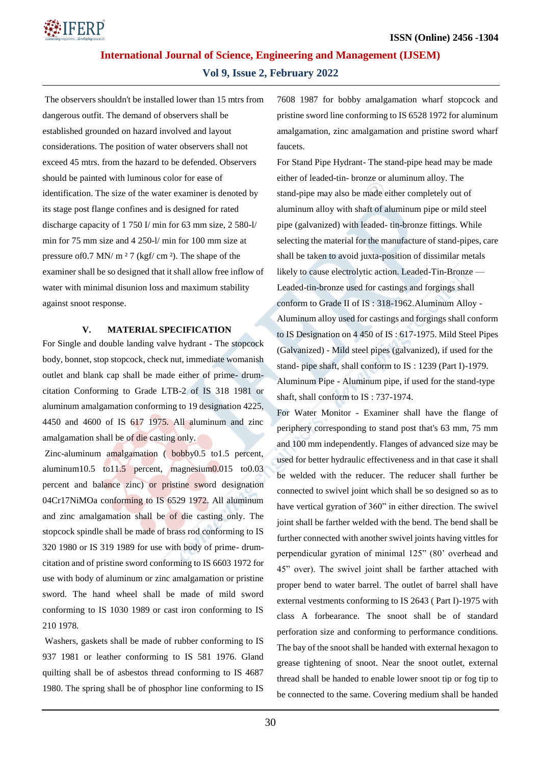

# **Vol 9, Issue 2, February 2022**

The observers shouldn't be installed lower than 15 mtrs from dangerous outfit. The demand of observers shall be established grounded on hazard involved and layout considerations. The position of water observers shall not exceed 45 mtrs. from the hazard to be defended. Observers should be painted with luminous color for ease of identification. The size of the water examiner is denoted by its stage post flange confines and is designed for rated discharge capacity of 1 750 I/ min for 63 mm size, 2 580-l/ min for 75 mm size and 4 250-l/ min for 100 mm size at pressure of 0.7 MN/  $m<sup>2</sup>$  7 (kgf/ cm <sup>2</sup>). The shape of the examiner shall be so designed that it shall allow free inflow of water with minimal disunion loss and maximum stability against snoot response.

## **V. MATERIAL SPECIFICATION**

For Single and double landing valve hydrant - The stopcock body, bonnet, stop stopcock, check nut, immediate womanish outlet and blank cap shall be made either of prime- drumcitation Conforming to Grade LTB-2 of IS 318 1981 or aluminum amalgamation conforming to 19 designation 4225, 4450 and 4600 of IS 617 1975. All aluminum and zinc amalgamation shall be of die casting only.

Zinc-aluminum amalgamation ( bobby0.5 to1.5 percent, aluminum10.5 to11.5 percent, magnesium0.015 to0.03 percent and balance zinc) or pristine sword designation 04Cr17NiMOa conforming to IS 6529 1972. All aluminum and zinc amalgamation shall be of die casting only. The stopcock spindle shall be made of brass rod conforming to IS 320 1980 or IS 319 1989 for use with body of prime- drumcitation and of pristine sword conforming to IS 6603 1972 for use with body of aluminum or zinc amalgamation or pristine sword. The hand wheel shall be made of mild sword conforming to IS 1030 1989 or cast iron conforming to IS 210 1978.

Washers, gaskets shall be made of rubber conforming to IS 937 1981 or leather conforming to IS 581 1976. Gland quilting shall be of asbestos thread conforming to IS 4687 1980. The spring shall be of phosphor line conforming to IS

7608 1987 for bobby amalgamation wharf stopcock and pristine sword line conforming to IS 6528 1972 for aluminum amalgamation, zinc amalgamation and pristine sword wharf faucets.

For Stand Pipe Hydrant- The stand-pipe head may be made either of leaded-tin- bronze or aluminum alloy. The stand-pipe may also be made either completely out of aluminum alloy with shaft of aluminum pipe or mild steel pipe (galvanized) with leaded- tin-bronze fittings. While selecting the material for the manufacture of stand-pipes, care shall be taken to avoid juxta-position of dissimilar metals likely to cause electrolytic action. Leaded-Tin-Bronze — Leaded-tin-bronze used for castings and forgings shall conform to Grade II of IS : 318-1962.Aluminum Alloy - Aluminum alloy used for castings and forgings shall conform to IS Designation on 4 450 of IS : 617-1975. Mild Steel Pipes (Galvanized) - Mild steel pipes (galvanized), if used for the stand- pipe shaft, shall conform to IS : 1239 (Part I)-1979. Aluminum Pipe - Aluminum pipe, if used for the stand-type shaft, shall conform to IS : 737-1974.

For Water Monitor - Examiner shall have the flange of periphery corresponding to stand post that's 63 mm, 75 mm and 100 mm independently. Flanges of advanced size may be used for better hydraulic effectiveness and in that case it shall be welded with the reducer. The reducer shall further be connected to swivel joint which shall be so designed so as to have vertical gyration of 360" in either direction. The swivel joint shall be farther welded with the bend. The bend shall be further connected with another swivel joints having vittles for perpendicular gyration of minimal 125" (80' overhead and 45" over). The swivel joint shall be farther attached with proper bend to water barrel. The outlet of barrel shall have external vestments conforming to IS 2643 ( Part I)-1975 with class A forbearance. The snoot shall be of standard perforation size and conforming to performance conditions. The bay of the snoot shall be handed with external hexagon to grease tightening of snoot. Near the snoot outlet, external thread shall be handed to enable lower snoot tip or fog tip to be connected to the same. Covering medium shall be handed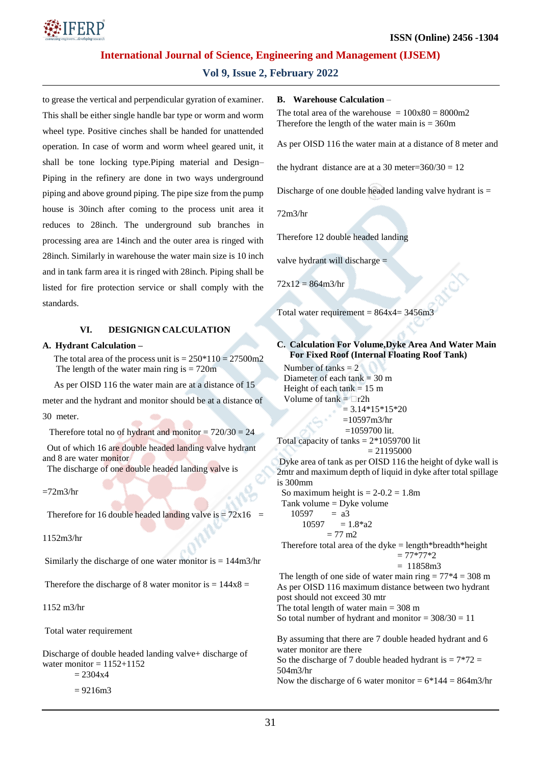

# **Vol 9, Issue 2, February 2022**

to grease the vertical and perpendicular gyration of examiner. This shall be either single handle bar type or worm and worm wheel type. Positive cinches shall be handed for unattended operation. In case of worm and worm wheel geared unit, it shall be tone locking type.Piping material and Design– Piping in the refinery are done in two ways underground piping and above ground piping. The pipe size from the pump house is 30inch after coming to the process unit area it reduces to 28inch. The underground sub branches in processing area are 14inch and the outer area is ringed with 28inch. Similarly in warehouse the water main size is 10 inch and in tank farm area it is ringed with 28inch. Piping shall be listed for fire protection service or shall comply with the standards.

## **VI. DESIGNIGN CALCULATION**

#### **A. Hydrant Calculation –**

The total area of the process unit is  $= 250*110 = 27500 \text{m}2$ The length of the water main ring is  $= 720$ m

As per OISD 116 the water main are at a distance of 15

meter and the hydrant and monitor should be at a distance of 30 meter.

Therefore total no of hydrant and monitor  $= 720/30 = 24$ 

 Out of which 16 are double headed landing valve hydrant and 8 are water monitor

The discharge of one double headed landing valve is

 $=72m3/hr$ 

Therefore for 16 double headed landing valve is  $= 72x16 =$ 

1152m3/hr

Similarly the discharge of one water monitor is  $= 144$ m3/hr

Therefore the discharge of 8 water monitor is  $= 144x8 =$ 

1152 m3/hr

Total water requirement

Discharge of double headed landing valve+ discharge of water monitor  $= 1152 + 1152$  $= 2304x4$ 

 $= 9216m3$ 

#### **B. Warehouse Calculation** –

The total area of the warehouse  $= 100x80 = 8000m2$ Therefore the length of the water main is  $= 360$ m

As per OISD 116 the water main at a distance of 8 meter and

the hydrant distance are at a 30 meter= $360/30 = 12$ 

Discharge of one double headed landing valve hydrant is =

72m3/hr

Therefore 12 double headed landing

valve hydrant will discharge =

 $72x12 = 864m3/hr$ 

Total water requirement =  $864x4 = 3456m3$ 

**C. Calculation For Volume,Dyke Area And Water Main For Fixed Roof (Internal Floating Roof Tank)**

Number of tanks  $= 2$ Diameter of each tank  $= 30$  m Height of each tank  $= 15$  m Volume of tank  $= \Box r2h$  $= 3.14*15*15*20$  $=10597m3/hr$  $=1059700$  lit. Total capacity of tanks  $= 2*1059700$  lit  $= 21195000$ 

Dyke area of tank as per OISD 116 the height of dyke wall is 2mtr and maximum depth of liquid in dyke after total spillage is 300mm

So maximum height is  $= 2-0.2 = 1.8$ m Tank volume = Dyke volume  $10597 = a3$  $10597 = 1.8*a2$  $= 77$  m<sup>2</sup>

Therefore total area of the dyke  $=$  length\*breadth\*height  $= 77*77*2$ 

```
= 11858m3
```
The length of one side of water main ring  $= 77*4 = 308$  m As per OISD 116 maximum distance between two hydrant post should not exceed 30 mtr The total length of water main  $=$  308 m So total number of hydrant and monitor  $= 308/30 = 11$ 

By assuming that there are 7 double headed hydrant and 6 water monitor are there So the discharge of 7 double headed hydrant is  $= 7*72 =$ 504m3/hr Now the discharge of 6 water monitor =  $6*144 = 864 \text{m}^3/\text{hr}$